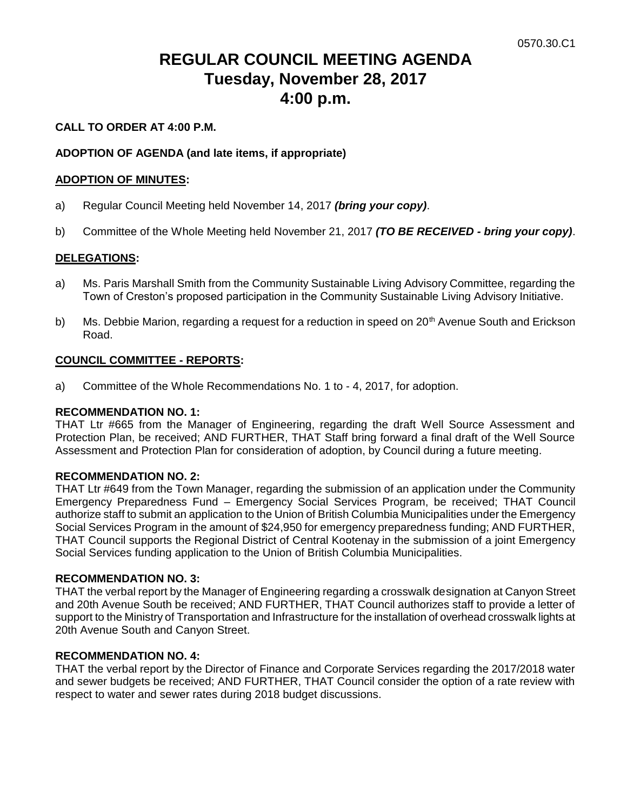# **REGULAR COUNCIL MEETING AGENDA Tuesday, November 28, 2017 4:00 p.m.**

# **CALL TO ORDER AT 4:00 P.M.**

#### **ADOPTION OF AGENDA (and late items, if appropriate)**

#### **ADOPTION OF MINUTES:**

- a) Regular Council Meeting held November 14, 2017 *(bring your copy)*.
- b) Committee of the Whole Meeting held November 21, 2017 *(TO BE RECEIVED - bring your copy)*.

#### **DELEGATIONS:**

- a) Ms. Paris Marshall Smith from the Community Sustainable Living Advisory Committee, regarding the Town of Creston's proposed participation in the Community Sustainable Living Advisory Initiative.
- b) Ms. Debbie Marion, regarding a request for a reduction in speed on 20<sup>th</sup> Avenue South and Erickson Road.

#### **COUNCIL COMMITTEE - REPORTS:**

a) Committee of the Whole Recommendations No. 1 to - 4, 2017, for adoption.

#### **RECOMMENDATION NO. 1:**

THAT Ltr #665 from the Manager of Engineering, regarding the draft Well Source Assessment and Protection Plan, be received; AND FURTHER, THAT Staff bring forward a final draft of the Well Source Assessment and Protection Plan for consideration of adoption, by Council during a future meeting.

#### **RECOMMENDATION NO. 2:**

THAT Ltr #649 from the Town Manager, regarding the submission of an application under the Community Emergency Preparedness Fund – Emergency Social Services Program, be received; THAT Council authorize staff to submit an application to the Union of British Columbia Municipalities under the Emergency Social Services Program in the amount of \$24,950 for emergency preparedness funding; AND FURTHER, THAT Council supports the Regional District of Central Kootenay in the submission of a joint Emergency Social Services funding application to the Union of British Columbia Municipalities.

#### **RECOMMENDATION NO. 3:**

THAT the verbal report by the Manager of Engineering regarding a crosswalk designation at Canyon Street and 20th Avenue South be received; AND FURTHER, THAT Council authorizes staff to provide a letter of support to the Ministry of Transportation and Infrastructure for the installation of overhead crosswalk lights at 20th Avenue South and Canyon Street.

#### **RECOMMENDATION NO. 4:**

THAT the verbal report by the Director of Finance and Corporate Services regarding the 2017/2018 water and sewer budgets be received; AND FURTHER, THAT Council consider the option of a rate review with respect to water and sewer rates during 2018 budget discussions.